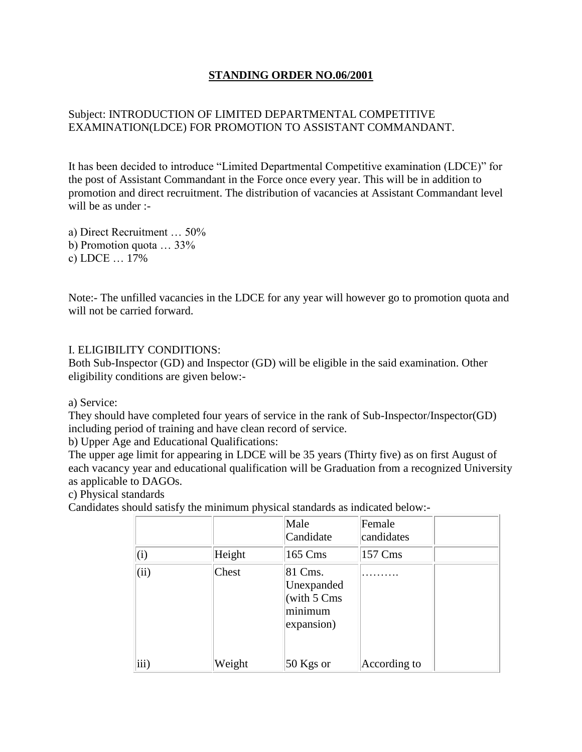## **STANDING ORDER NO.06/2001**

## Subject: INTRODUCTION OF LIMITED DEPARTMENTAL COMPETITIVE EXAMINATION(LDCE) FOR PROMOTION TO ASSISTANT COMMANDANT.

It has been decided to introduce "Limited Departmental Competitive examination (LDCE)" for the post of Assistant Commandant in the Force once every year. This will be in addition to promotion and direct recruitment. The distribution of vacancies at Assistant Commandant level will be as under :-

a) Direct Recruitment … 50% b) Promotion quota … 33% c) LDCE … 17%

Note:- The unfilled vacancies in the LDCE for any year will however go to promotion quota and will not be carried forward.

#### I. ELIGIBILITY CONDITIONS:

Both Sub-Inspector (GD) and Inspector (GD) will be eligible in the said examination. Other eligibility conditions are given below:-

a) Service:

They should have completed four years of service in the rank of Sub-Inspector/Inspector(GD) including period of training and have clean record of service.

b) Upper Age and Educational Qualifications:

The upper age limit for appearing in LDCE will be 35 years (Thirty five) as on first August of each vacancy year and educational qualification will be Graduation from a recognized University as applicable to DAGOs.

c) Physical standards

Candidates should satisfy the minimum physical standards as indicated below:-

|      |        | Male<br>Candidate                                                       | Female<br>candidates |  |
|------|--------|-------------------------------------------------------------------------|----------------------|--|
| (i)  | Height | 165 Cms                                                                 | 157 Cms              |  |
| (ii) | Chest  | 81 Cms.<br>Unexpanded<br>(with $5 \text{ Cms}$<br>minimum<br>expansion) |                      |  |
| iii) | Weight | 50 Kgs or                                                               | According to         |  |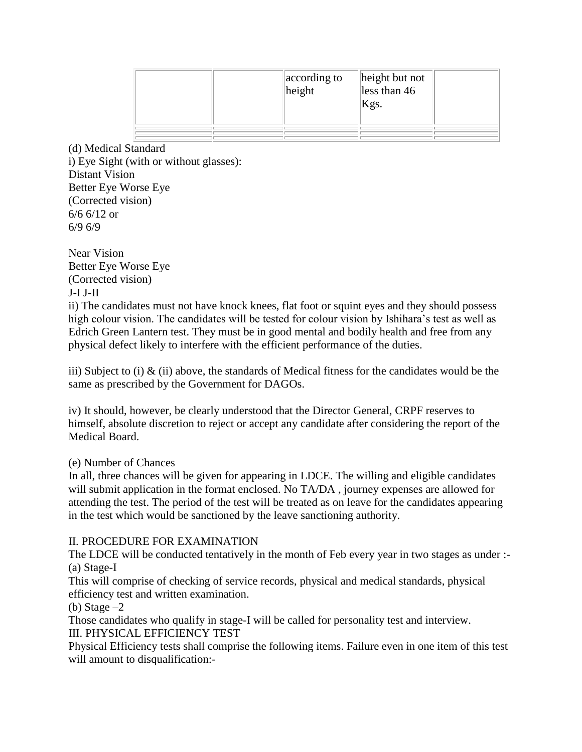|  | according to<br>$\parallel$ height | height but not<br>less than 46<br>Kgs. |  |
|--|------------------------------------|----------------------------------------|--|
|  |                                    |                                        |  |
|  |                                    |                                        |  |

(d) Medical Standard i) Eye Sight (with or without glasses): Distant Vision Better Eye Worse Eye (Corrected vision) 6/6 6/12 or 6/9 6/9

Near Vision Better Eye Worse Eye (Corrected vision) J-I J-II

ii) The candidates must not have knock knees, flat foot or squint eyes and they should possess high colour vision. The candidates will be tested for colour vision by Ishihara's test as well as Edrich Green Lantern test. They must be in good mental and bodily health and free from any physical defect likely to interfere with the efficient performance of the duties.

iii) Subject to (i)  $\&$  (ii) above, the standards of Medical fitness for the candidates would be the same as prescribed by the Government for DAGOs.

iv) It should, however, be clearly understood that the Director General, CRPF reserves to himself, absolute discretion to reject or accept any candidate after considering the report of the Medical Board.

## (e) Number of Chances

In all, three chances will be given for appearing in LDCE. The willing and eligible candidates will submit application in the format enclosed. No TA/DA , journey expenses are allowed for attending the test. The period of the test will be treated as on leave for the candidates appearing in the test which would be sanctioned by the leave sanctioning authority.

## II. PROCEDURE FOR EXAMINATION

The LDCE will be conducted tentatively in the month of Feb every year in two stages as under :- (a) Stage-I

This will comprise of checking of service records, physical and medical standards, physical efficiency test and written examination.

(b) Stage  $-2$ 

Those candidates who qualify in stage-I will be called for personality test and interview.

III. PHYSICAL EFFICIENCY TEST

Physical Efficiency tests shall comprise the following items. Failure even in one item of this test will amount to disqualification:-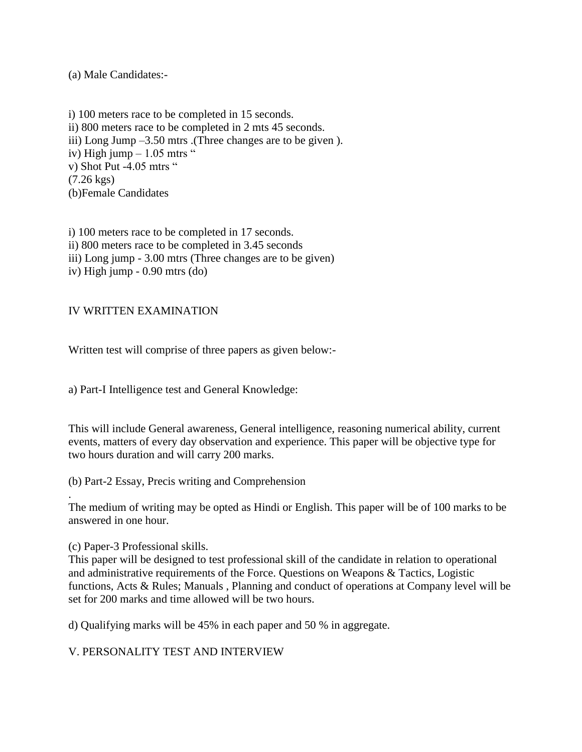(a) Male Candidates:-

i) 100 meters race to be completed in 15 seconds. ii) 800 meters race to be completed in 2 mts 45 seconds. iii) Long Jump –3.50 mtrs .(Three changes are to be given ). iv) High jump  $-1.05$  mtrs " v) Shot Put -4.05 mtrs " (7.26 kgs) (b)Female Candidates

i) 100 meters race to be completed in 17 seconds. ii) 800 meters race to be completed in 3.45 seconds iii) Long jump - 3.00 mtrs (Three changes are to be given) iv) High jump - 0.90 mtrs (do)

#### IV WRITTEN EXAMINATION

Written test will comprise of three papers as given below:-

a) Part-I Intelligence test and General Knowledge:

This will include General awareness, General intelligence, reasoning numerical ability, current events, matters of every day observation and experience. This paper will be objective type for two hours duration and will carry 200 marks.

(b) Part-2 Essay, Precis writing and Comprehension

The medium of writing may be opted as Hindi or English. This paper will be of 100 marks to be answered in one hour.

(c) Paper-3 Professional skills.

.

This paper will be designed to test professional skill of the candidate in relation to operational and administrative requirements of the Force. Questions on Weapons & Tactics, Logistic functions, Acts & Rules; Manuals , Planning and conduct of operations at Company level will be set for 200 marks and time allowed will be two hours.

d) Qualifying marks will be 45% in each paper and 50 % in aggregate.

V. PERSONALITY TEST AND INTERVIEW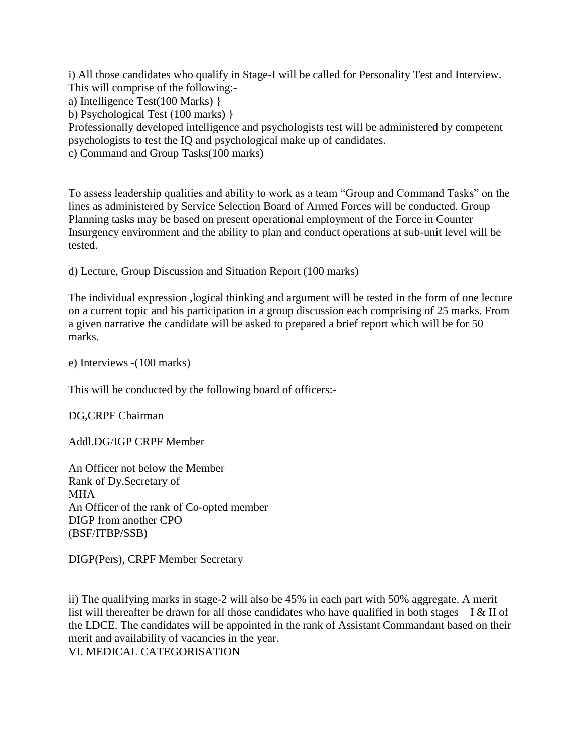i) All those candidates who qualify in Stage-I will be called for Personality Test and Interview. This will comprise of the following:-

a) Intelligence Test(100 Marks) }

b) Psychological Test (100 marks) }

Professionally developed intelligence and psychologists test will be administered by competent psychologists to test the IQ and psychological make up of candidates.

c) Command and Group Tasks(100 marks)

To assess leadership qualities and ability to work as a team "Group and Command Tasks" on the lines as administered by Service Selection Board of Armed Forces will be conducted. Group Planning tasks may be based on present operational employment of the Force in Counter Insurgency environment and the ability to plan and conduct operations at sub-unit level will be tested.

d) Lecture, Group Discussion and Situation Report (100 marks)

The individual expression ,logical thinking and argument will be tested in the form of one lecture on a current topic and his participation in a group discussion each comprising of 25 marks. From a given narrative the candidate will be asked to prepared a brief report which will be for 50 marks.

e) Interviews -(100 marks)

This will be conducted by the following board of officers:-

DG,CRPF Chairman

Addl.DG/IGP CRPF Member

An Officer not below the Member Rank of Dy.Secretary of MHA An Officer of the rank of Co-opted member DIGP from another CPO (BSF/ITBP/SSB)

DIGP(Pers), CRPF Member Secretary

ii) The qualifying marks in stage-2 will also be 45% in each part with 50% aggregate. A merit list will thereafter be drawn for all those candidates who have qualified in both stages  $-1 \& \text{II}$  of the LDCE. The candidates will be appointed in the rank of Assistant Commandant based on their merit and availability of vacancies in the year.

VI. MEDICAL CATEGORISATION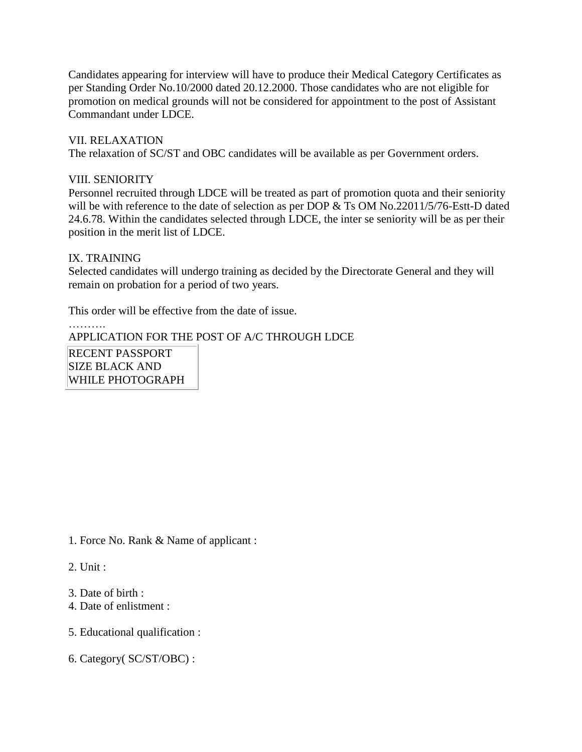Candidates appearing for interview will have to produce their Medical Category Certificates as per Standing Order No.10/2000 dated 20.12.2000. Those candidates who are not eligible for promotion on medical grounds will not be considered for appointment to the post of Assistant Commandant under LDCE.

VII. RELAXATION The relaxation of SC/ST and OBC candidates will be available as per Government orders.

#### VIII. SENIORITY

Personnel recruited through LDCE will be treated as part of promotion quota and their seniority will be with reference to the date of selection as per DOP & Ts OM No.22011/5/76-Estt-D dated 24.6.78. Within the candidates selected through LDCE, the inter se seniority will be as per their position in the merit list of LDCE.

#### IX. TRAINING

…………

Selected candidates will undergo training as decided by the Directorate General and they will remain on probation for a period of two years.

This order will be effective from the date of issue.

# APPLICATION FOR THE POST OF A/C THROUGH LDCE

RECENT PASSPORT SIZE BLACK AND WHILE PHOTOGRAPH

1. Force No. Rank & Name of applicant :

2. Unit :

- 3. Date of birth :
- 4. Date of enlistment :
- 5. Educational qualification :
- 6. Category( SC/ST/OBC) :